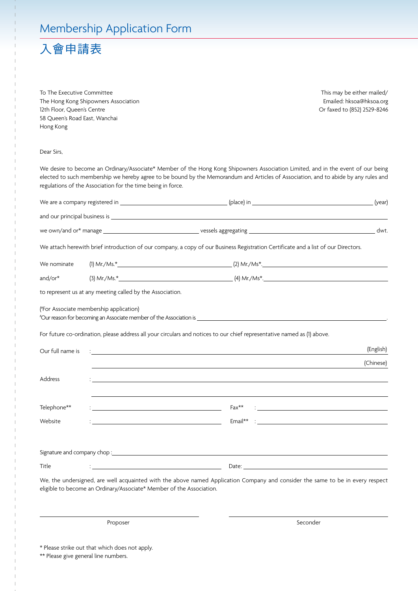## Membership Application Form

## 入會申請表

To The Executive Committee The Hong Kong Shipowners Association 12th Floor, Queen's Centre 58 Queen's Road East, Wanchai Hong Kong

This may be either mailed/ Emailed: hksoa@hksoa.org Or faxed to (852) 2529-8246

## Dear Sirs,

We desire to become an Ordinary/Associate\* Member of the Hong Kong Shipowners Association Limited, and in the event of our being elected to such membership we hereby agree to be bound by the Memorandum and Articles of Association, and to abide by any rules and regulations of the Association for the time being in force.

|                  |                                                                                                                                                                                                                                                                           |                                                                                                                                    | (year)    |
|------------------|---------------------------------------------------------------------------------------------------------------------------------------------------------------------------------------------------------------------------------------------------------------------------|------------------------------------------------------------------------------------------------------------------------------------|-----------|
|                  |                                                                                                                                                                                                                                                                           |                                                                                                                                    |           |
|                  |                                                                                                                                                                                                                                                                           |                                                                                                                                    | dwt.      |
|                  |                                                                                                                                                                                                                                                                           | We attach herewith brief introduction of our company, a copy of our Business Registration Certificate and a list of our Directors. |           |
| We nominate      |                                                                                                                                                                                                                                                                           |                                                                                                                                    |           |
| and/or*          |                                                                                                                                                                                                                                                                           |                                                                                                                                    |           |
|                  | to represent us at any meeting called by the Association.                                                                                                                                                                                                                 |                                                                                                                                    |           |
|                  | ("For Associate membership application)<br>"Our reason for becoming an Associate member of the Association is which is a state of the Association is which is a state of the Associate member of the Associate is a state of the Associate of the Associate of the Associ |                                                                                                                                    |           |
|                  | For future co-ordination, please address all your circulars and notices to our chief representative named as (1) above.                                                                                                                                                   |                                                                                                                                    |           |
| Our full name is | <u> 1989 - John Stone, amerikansk politiker (d. 1989)</u>                                                                                                                                                                                                                 |                                                                                                                                    | (English) |
|                  |                                                                                                                                                                                                                                                                           |                                                                                                                                    | (Chinese) |
| Address          |                                                                                                                                                                                                                                                                           |                                                                                                                                    |           |
|                  |                                                                                                                                                                                                                                                                           |                                                                                                                                    |           |
| Telephone**      | <u> 1989 - Johann Barbara, martin amerikan basar dan basa dan basa dan basa dalam basa dan basa dalam basa dalam</u>                                                                                                                                                      | <u> 1988 - Andrea Stadt British, amerikan besteht besteht av den stadt besteht av den stadt besteht av den stadt</u><br>$Fax**$    |           |
| Website          | <u> 1989 - Johann Barn, fransk politik (</u>                                                                                                                                                                                                                              |                                                                                                                                    |           |
|                  |                                                                                                                                                                                                                                                                           |                                                                                                                                    |           |
|                  |                                                                                                                                                                                                                                                                           |                                                                                                                                    |           |
| Title            | <u> 1989 - Johann Barn, mars eta bainar eta baina eta baina eta baina eta baina eta baina eta baina eta baina e</u>                                                                                                                                                       |                                                                                                                                    |           |
|                  | eligible to become an Ordinary/Associate* Member of the Association.                                                                                                                                                                                                      | We, the undersigned, are well acquainted with the above named Application Company and consider the same to be in every respect     |           |

Proposer Seconder

\* Please strike out that which does not apply.

\*\* Please give general line numbers.